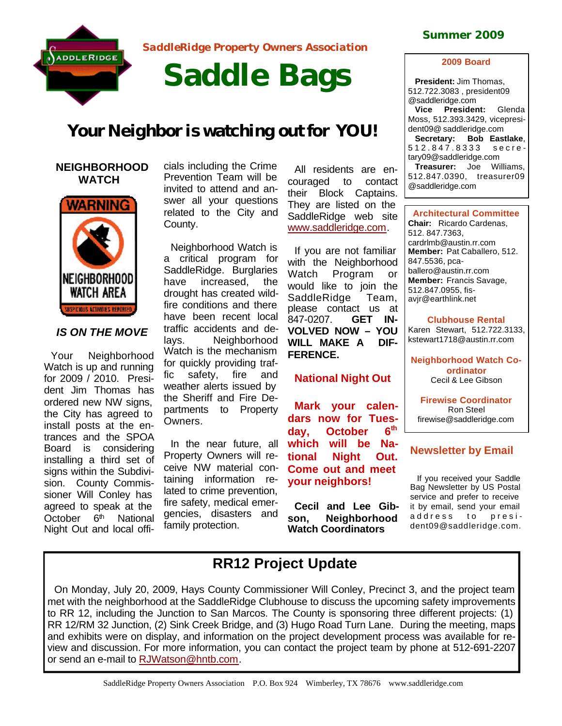

*SaddleRidge Property Owners Association* 

# **Saddle Bags**

## *Your Neighbor is watching out for YOU!*

#### **NEIGHBORHOOD WATCH**



### *IS ON THE MOVE*

Your Neighborhood Watch is up and running for 2009 / 2010. President Jim Thomas has ordered new NW signs, the City has agreed to install posts at the entrances and the SPOA Board is considering installing a third set of signs within the Subdivision. County Commissioner Will Conley has agreed to speak at the October 6<sup>th</sup> National Night Out and local offi-

cials including the Crime Prevention Team will be invited to attend and answer all your questions related to the City and County.

Neighborhood Watch is a critical program for SaddleRidge. Burglaries have increased, the drought has created wildfire conditions and there have been recent local traffic accidents and delays. Neighborhood Watch is the mechanism for quickly providing traffic safety, fire and weather alerts issued by the Sheriff and Fire Departments to Property Owners.

In the near future, all Property Owners will receive NW material containing information related to crime prevention, fire safety, medical emergencies, disasters and family protection.

All residents are encouraged to contact their Block Captains. They are listed on the SaddleRidge web site www.saddleridge.com.

If you are not familiar with the Neighborhood Watch Program or would like to join the SaddleRidge Team, please contact us at 847-0207. **GET IN-VOLVED NOW – YOU WILL MAKE A DIF-FERENCE.**

#### **National Night Out**

**Mark your calendars now for Tues**day, October **th which will be National Night Out. Come out and meet your neighbors!**

**Cecil and Lee Gibson, Neighborhood Watch Coordinators**

#### **Summer 2009**

#### **2009 Board**

**President:** Jim Thomas, 512.722.3083 , president09 @saddleridge.com

**Vice President:** Glenda Moss, 512.393.3429, vicepresident09@ saddleridge.com **Secretary: Bob Eastlake**, 512.847.8333 secretary09@saddleridge.com **Treasurer:** Joe Williams, 512.847.0390, treasurer09

@saddleridge.com

**Architectural Committee Chair:** Ricardo Cardenas, 512. 847.7363, cardrlmb@austin.rr.com **Member:** Pat Caballero, 512. 847.5536, pcaballero@austin.rr.com **Member:** Francis Savage, 512.847.0955, fisavjr@earthlink.net

**Clubhouse Rental** Karen Stewart, 512.722.3133,

kstewart1718@austin.rr.com

**Neighborhood Watch Coordinator** Cecil & Lee Gibson

**Firewise Coordinator** Ron Steel firewise@saddleridge.com

#### **Newsletter by Email**

If you received your Saddle Bag Newsletter by US Postal service and prefer to receive it by email, send your email address to dent09@saddleridge.com.

## **RR12 Project Update**

On Monday, July 20, 2009, Hays County Commissioner Will Conley, Precinct 3, and the project team met with the neighborhood at the SaddleRidge Clubhouse to discuss the upcoming safety improvements to RR 12, including the Junction to San Marcos. The County is sponsoring three different projects: (1) RR 12/RM 32 Junction, (2) Sink Creek Bridge, and (3) Hugo Road Turn Lane. During the meeting, maps and exhibits were on display, and information on the project development process was available for review and discussion. For more information, you can contact the project team by phone at 512-691-2207 or send an e-mail to RJWatson@hntb.com.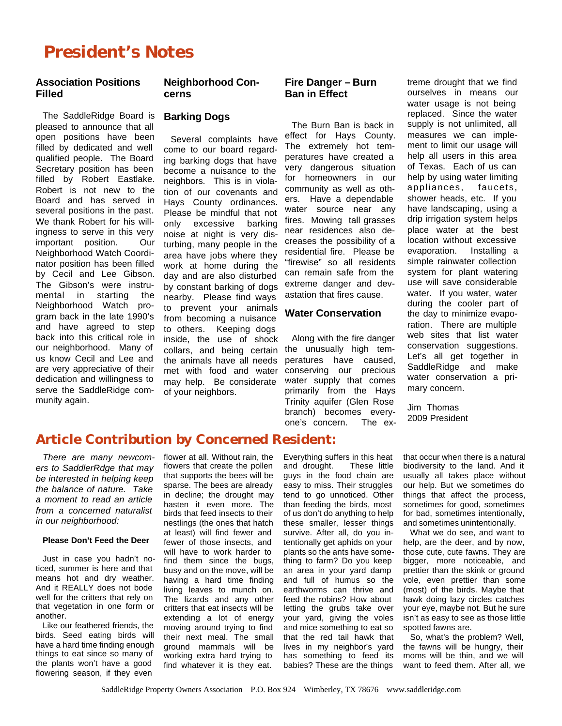# **President's Notes**

#### **Association Positions Filled**

The SaddleRidge Board is pleased to announce that all open positions have been filled by dedicated and well qualified people. The Board Secretary position has been filled by Robert Eastlake. Robert is not new to the Board and has served in several positions in the past. We thank Robert for his willingness to serve in this very important position. Our Neighborhood Watch Coordinator position has been filled by Cecil and Lee Gibson. The Gibson's were instrumental in starting the Neighborhood Watch program back in the late 1990's and have agreed to step back into this critical role in our neighborhood. Many of us know Cecil and Lee and are very appreciative of their dedication and willingness to serve the SaddleRidge community again.

#### **Neighborhood Concerns**

#### **Barking Dogs**

Several complaints have come to our board regarding barking dogs that have become a nuisance to the neighbors. This is in violation of our covenants and Hays County ordinances. Please be mindful that not only excessive barking noise at night is very disturbing, many people in the area have jobs where they work at home during the day and are also disturbed by constant barking of dogs nearby. Please find ways to prevent your animals from becoming a nuisance to others. Keeping dogs inside, the use of shock collars, and being certain the animals have all needs met with food and water may help. Be considerate of your neighbors.

#### **Fire Danger – Burn Ban in Effect**

The Burn Ban is back in effect for Hays County. The extremely hot temperatures have created a very dangerous situation for homeowners in our community as well as others. Have a dependable water source near any fires. Mowing tall grasses near residences also decreases the possibility of a residential fire. Please be "firewise" so all residents can remain safe from the extreme danger and devastation that fires cause.

#### **Water Conservation**

Along with the fire danger the unusually high temperatures have caused, conserving our precious water supply that comes primarily from the Hays Trinity aquifer (Glen Rose branch) becomes everyone's concern. The ex-

treme drought that we find ourselves in means our water usage is not being replaced. Since the water supply is not unlimited, all measures we can implement to limit our usage will help all users in this area of Texas. Each of us can help by using water limiting appliances, faucets, shower heads, etc. If you have landscaping, using a drip irrigation system helps place water at the best location without excessive evaporation. Installing a simple rainwater collection system for plant watering use will save considerable water. If you water, water during the cooler part of the day to minimize evaporation. There are multiple web sites that list water conservation suggestions. Let's all get together in SaddleRidge and make water conservation a primary concern.

Jim Thomas 2009 President

## **Article Contribution by Concerned Resident:**

*There are many newcomers to SaddlerRdge that may be interested in helping keep the balance of nature. Take a moment to read an article from a concerned naturalist in our neighborhood:*

#### **Please Don't Feed the Deer**

Just in case you hadn't noticed, summer is here and that means hot and dry weather. And it REALLY does not bode well for the critters that rely on that vegetation in one form or another.

Like our feathered friends, the birds. Seed eating birds will have a hard time finding enough things to eat since so many of the plants won't have a good flowering season, if they even

flower at all. Without rain, the flowers that create the pollen that supports the bees will be sparse. The bees are already in decline; the drought may hasten it even more. The birds that feed insects to their nestlings (the ones that hatch at least) will find fewer and fewer of those insects, and will have to work harder to find them since the bugs, busy and on the move, will be having a hard time finding living leaves to munch on. The lizards and any other critters that eat insects will be extending a lot of energy moving around trying to find their next meal. The small ground mammals will be working extra hard trying to find whatever it is they eat.

Everything suffers in this heat and drought. These little guys in the food chain are easy to miss. Their struggles tend to go unnoticed. Other than feeding the birds, most of us don't do anything to help these smaller, lesser things survive. After all, do you intentionally get aphids on your plants so the ants have something to farm? Do you keep an area in your yard damp and full of humus so the earthworms can thrive and feed the robins? How about letting the grubs take over your yard, giving the voles and mice something to eat so that the red tail hawk that lives in my neighbor's yard has something to feed its babies? These are the things

that occur when there is a natural biodiversity to the land. And it usually all takes place without our help. But we sometimes do things that affect the process, sometimes for good, sometimes for bad, sometimes intentionally, and sometimes unintentionally.

What we do see, and want to help, are the deer, and by now, those cute, cute fawns. They are bigger, more noticeable, and prettier than the skink or ground vole, even prettier than some (most) of the birds. Maybe that hawk doing lazy circles catches your eye, maybe not. But he sure isn't as easy to see as those little spotted fawns are.

So, what's the problem? Well, the fawns will be hungry, their moms will be thin, and we will want to feed them. After all, we